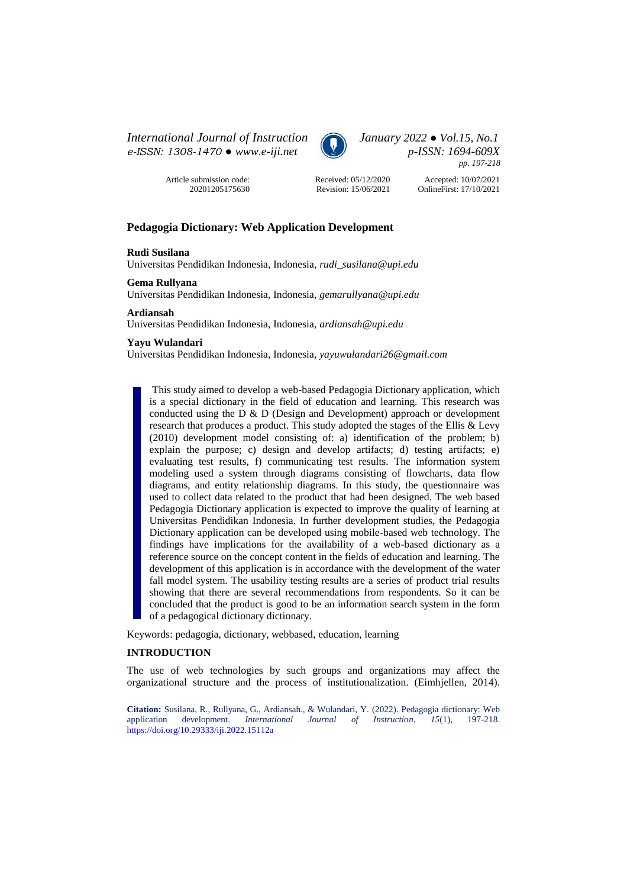*International Journal of Instruction January 2022 ● Vol.15, No.1 e-ISSN: 1308-1470 ● [www.e-iji.net](http://www.e-iji.net/) p-ISSN: 1694-609X*



*pp. 197-218*

Article submission code: 20201205175630



Revision: 15/06/2021

Accepted: 10/07/2021 OnlineFirst: 17/10/2021

# **Pedagogia Dictionary: Web Application Development**

## **Rudi Susilana**

Universitas Pendidikan Indonesia, Indonesia, *rudi\_susilana@upi.edu* 

# **Gema Rullyana**

Universitas Pendidikan Indonesia, Indonesia, *gemarullyana@upi.edu* 

### **Ardiansah**

Universitas Pendidikan Indonesia, Indonesia, *ardiansah@upi.edu* 

# **Yayu Wulandari**

Universitas Pendidikan Indonesia, Indonesia, *yayuwulandari26@gmail.com*

This study aimed to develop a web-based Pedagogia Dictionary application, which is a special dictionary in the field of education and learning. This research was conducted using the D & D (Design and Development) approach or development research that produces a product. This study adopted the stages of the Ellis & Levy (2010) development model consisting of: a) identification of the problem; b) explain the purpose; c) design and develop artifacts; d) testing artifacts; e) evaluating test results, f) communicating test results. The information system modeling used a system through diagrams consisting of flowcharts, data flow diagrams, and entity relationship diagrams. In this study, the questionnaire was used to collect data related to the product that had been designed. The web based Pedagogia Dictionary application is expected to improve the quality of learning at Universitas Pendidikan Indonesia. In further development studies, the Pedagogia Dictionary application can be developed using mobile-based web technology. The findings have implications for the availability of a web-based dictionary as a reference source on the concept content in the fields of education and learning. The development of this application is in accordance with the development of the water fall model system. The usability testing results are a series of product trial results showing that there are several recommendations from respondents. So it can be concluded that the product is good to be an information search system in the form of a pedagogical dictionary dictionary.

Keywords: pedagogia, dictionary, webbased, education, learning

# **INTRODUCTION**

The use of web technologies by such groups and organizations may affect the organizational structure and the process of institutionalization. (Eimhjellen, 2014).

**Citation:** Susilana, R., Rullyana, G., Ardiansah., & Wulandari, Y. (2022). Pedagogia dictionary: Web application development. *International Journal of Instruction*, *15*(1), 197-218. <https://doi.org/10.29333/iji.2022.15112a>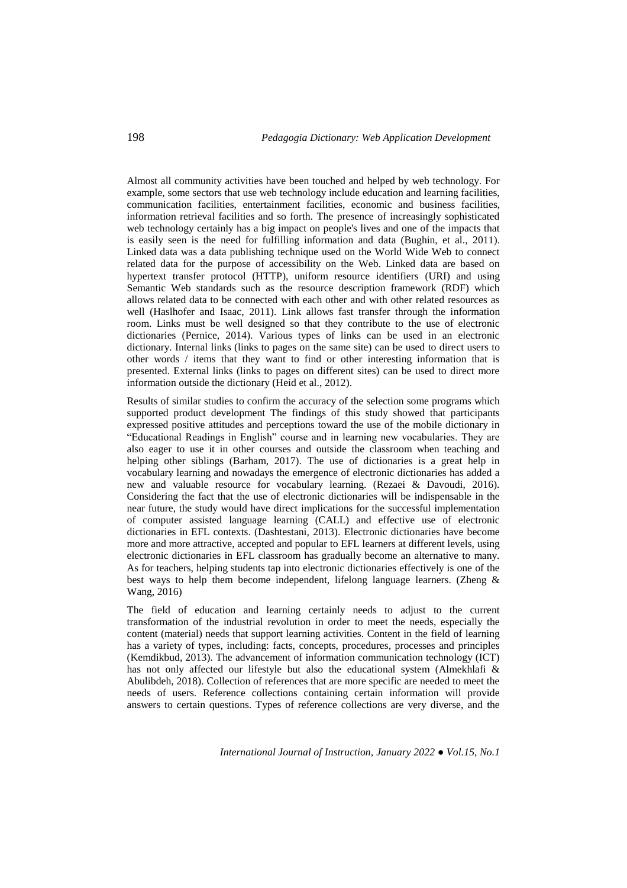Almost all community activities have been touched and helped by web technology. For example, some sectors that use web technology include education and learning facilities, communication facilities, entertainment facilities, economic and business facilities, information retrieval facilities and so forth. The presence of increasingly sophisticated web technology certainly has a big impact on people's lives and one of the impacts that is easily seen is the need for fulfilling information and data (Bughin, et al., 2011). Linked data was a data publishing technique used on the World Wide Web to connect related data for the purpose of accessibility on the Web. Linked data are based on hypertext transfer protocol (HTTP), uniform resource identifiers (URI) and using Semantic Web standards such as the resource description framework (RDF) which allows related data to be connected with each other and with other related resources as well (Haslhofer and Isaac, 2011). Link allows fast transfer through the information room. Links must be well designed so that they contribute to the use of electronic dictionaries (Pernice, 2014). Various types of links can be used in an electronic dictionary. Internal links (links to pages on the same site) can be used to direct users to other words / items that they want to find or other interesting information that is presented. External links (links to pages on different sites) can be used to direct more information outside the dictionary (Heid et al., 2012).

Results of similar studies to confirm the accuracy of the selection some programs which supported product development The findings of this study showed that participants expressed positive attitudes and perceptions toward the use of the mobile dictionary in "Educational Readings in English" course and in learning new vocabularies. They are also eager to use it in other courses and outside the classroom when teaching and helping other siblings (Barham, 2017). The use of dictionaries is a great help in vocabulary learning and nowadays the emergence of electronic dictionaries has added a new and valuable resource for vocabulary learning. (Rezaei & Davoudi, 2016). Considering the fact that the use of electronic dictionaries will be indispensable in the near future, the study would have direct implications for the successful implementation of computer assisted language learning (CALL) and effective use of electronic dictionaries in EFL contexts. (Dashtestani, 2013). Electronic dictionaries have become more and more attractive, accepted and popular to EFL learners at different levels, using electronic dictionaries in EFL classroom has gradually become an alternative to many. As for teachers, helping students tap into electronic dictionaries effectively is one of the best ways to help them become independent, lifelong language learners. (Zheng & Wang, 2016)

The field of education and learning certainly needs to adjust to the current transformation of the industrial revolution in order to meet the needs, especially the content (material) needs that support learning activities. Content in the field of learning has a variety of types, including: facts, concepts, procedures, processes and principles (Kemdikbud, 2013). The advancement of information communication technology (ICT) has not only affected our lifestyle but also the educational system (Almekhlafi & Abulibdeh, 2018). Collection of references that are more specific are needed to meet the needs of users. Reference collections containing certain information will provide answers to certain questions. Types of reference collections are very diverse, and the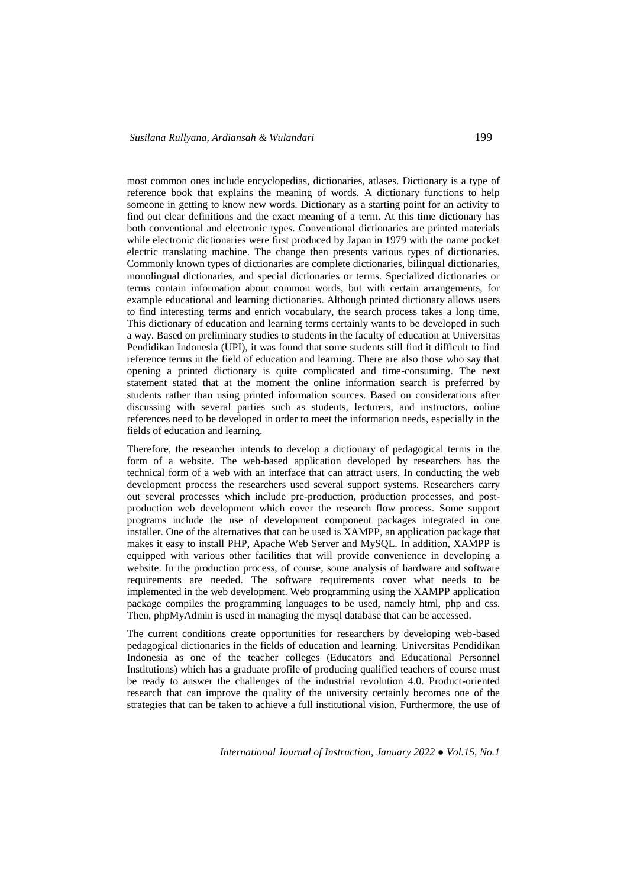most common ones include encyclopedias, dictionaries, atlases. Dictionary is a type of reference book that explains the meaning of words. A dictionary functions to help someone in getting to know new words. Dictionary as a starting point for an activity to find out clear definitions and the exact meaning of a term. At this time dictionary has both conventional and electronic types. Conventional dictionaries are printed materials while electronic dictionaries were first produced by Japan in 1979 with the name pocket electric translating machine. The change then presents various types of dictionaries. Commonly known types of dictionaries are complete dictionaries, bilingual dictionaries, monolingual dictionaries, and special dictionaries or terms. Specialized dictionaries or terms contain information about common words, but with certain arrangements, for example educational and learning dictionaries. Although printed dictionary allows users to find interesting terms and enrich vocabulary, the search process takes a long time. This dictionary of education and learning terms certainly wants to be developed in such a way. Based on preliminary studies to students in the faculty of education at Universitas Pendidikan Indonesia (UPI), it was found that some students still find it difficult to find reference terms in the field of education and learning. There are also those who say that opening a printed dictionary is quite complicated and time-consuming. The next statement stated that at the moment the online information search is preferred by students rather than using printed information sources. Based on considerations after discussing with several parties such as students, lecturers, and instructors, online references need to be developed in order to meet the information needs, especially in the fields of education and learning.

Therefore, the researcher intends to develop a dictionary of pedagogical terms in the form of a website. The web-based application developed by researchers has the technical form of a web with an interface that can attract users. In conducting the web development process the researchers used several support systems. Researchers carry out several processes which include pre-production, production processes, and postproduction web development which cover the research flow process. Some support programs include the use of development component packages integrated in one installer. One of the alternatives that can be used is XAMPP, an application package that makes it easy to install PHP, Apache Web Server and MySQL. In addition, XAMPP is equipped with various other facilities that will provide convenience in developing a website. In the production process, of course, some analysis of hardware and software requirements are needed. The software requirements cover what needs to be implemented in the web development. Web programming using the XAMPP application package compiles the programming languages to be used, namely html, php and css. Then, phpMyAdmin is used in managing the mysql database that can be accessed.

The current conditions create opportunities for researchers by developing web-based pedagogical dictionaries in the fields of education and learning. Universitas Pendidikan Indonesia as one of the teacher colleges (Educators and Educational Personnel Institutions) which has a graduate profile of producing qualified teachers of course must be ready to answer the challenges of the industrial revolution 4.0. Product-oriented research that can improve the quality of the university certainly becomes one of the strategies that can be taken to achieve a full institutional vision. Furthermore, the use of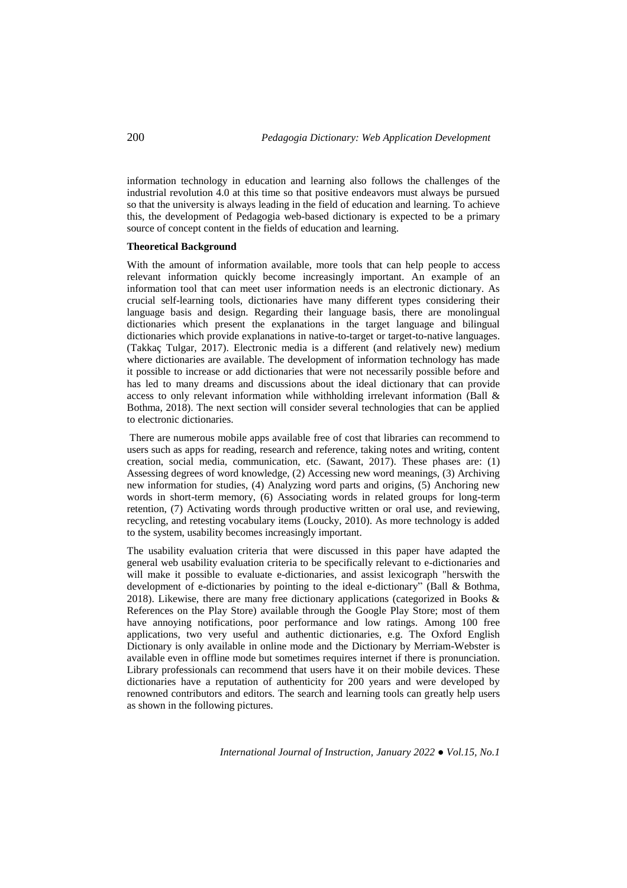information technology in education and learning also follows the challenges of the industrial revolution 4.0 at this time so that positive endeavors must always be pursued so that the university is always leading in the field of education and learning. To achieve this, the development of Pedagogia web-based dictionary is expected to be a primary source of concept content in the fields of education and learning.

### **Theoretical Background**

With the amount of information available, more tools that can help people to access relevant information quickly become increasingly important. An example of an information tool that can meet user information needs is an electronic dictionary. As crucial self-learning tools, dictionaries have many different types considering their language basis and design. Regarding their language basis, there are monolingual dictionaries which present the explanations in the target language and bilingual dictionaries which provide explanations in native-to-target or target-to-native languages. (Takkaç Tulgar, 2017). Electronic media is a different (and relatively new) medium where dictionaries are available. The development of information technology has made it possible to increase or add dictionaries that were not necessarily possible before and has led to many dreams and discussions about the ideal dictionary that can provide access to only relevant information while withholding irrelevant information (Ball & Bothma, 2018). The next section will consider several technologies that can be applied to electronic dictionaries.

There are numerous mobile apps available free of cost that libraries can recommend to users such as apps for reading, research and reference, taking notes and writing, content creation, social media, communication, etc. (Sawant, 2017). These phases are: (1) Assessing degrees of word knowledge, (2) Accessing new word meanings, (3) Archiving new information for studies, (4) Analyzing word parts and origins, (5) Anchoring new words in short-term memory, (6) Associating words in related groups for long-term retention, (7) Activating words through productive written or oral use, and reviewing, recycling, and retesting vocabulary items (Loucky, 2010). As more technology is added to the system, usability becomes increasingly important.

The usability evaluation criteria that were discussed in this paper have adapted the general web usability evaluation criteria to be specifically relevant to e-dictionaries and will make it possible to evaluate e-dictionaries, and assist lexicograph "herswith the development of e-dictionaries by pointing to the ideal e-dictionary" (Ball & Bothma, 2018). Likewise, there are many free dictionary applications (categorized in Books  $\&$ References on the Play Store) available through the Google Play Store; most of them have annoying notifications, poor performance and low ratings. Among 100 free applications, two very useful and authentic dictionaries, e.g. The Oxford English Dictionary is only available in online mode and the Dictionary by Merriam-Webster is available even in offline mode but sometimes requires internet if there is pronunciation. Library professionals can recommend that users have it on their mobile devices. These dictionaries have a reputation of authenticity for 200 years and were developed by renowned contributors and editors. The search and learning tools can greatly help users as shown in the following pictures.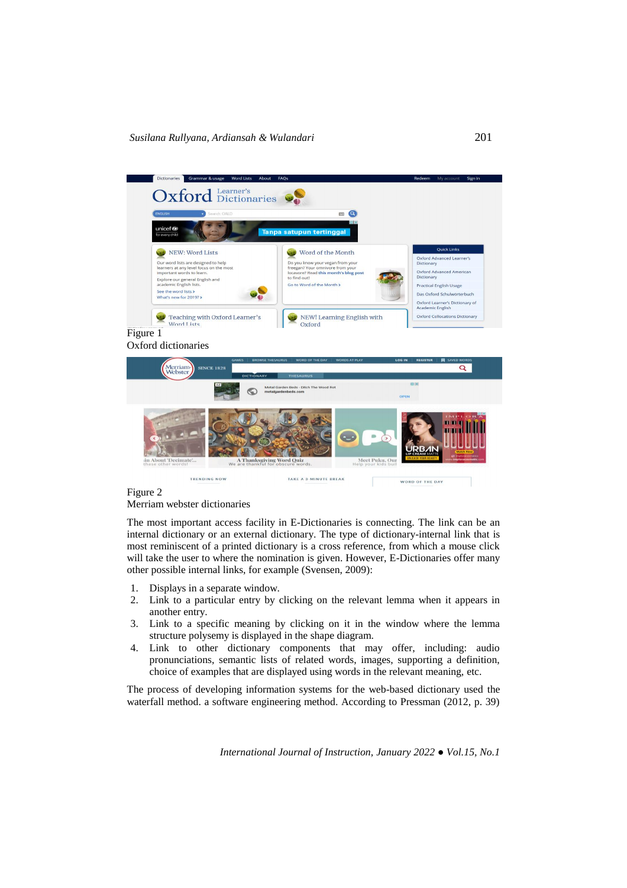

## Figure 2 Merriam webster dictionaries

TRENDING NOW

The most important access facility in E-Dictionaries is connecting. The link can be an internal dictionary or an external dictionary. The type of dictionary-internal link that is most reminiscent of a printed dictionary is a cross reference, from which a mouse click will take the user to where the nomination is given. However, E-Dictionaries offer many other possible internal links, for example (Svensen, 2009):

TAKE A 3-MINUTE BREAK

WORD OF THE DAY

- 1. Displays in a separate window.
- 2. Link to a particular entry by clicking on the relevant lemma when it appears in another entry.
- 3. Link to a specific meaning by clicking on it in the window where the lemma structure polysemy is displayed in the shape diagram.
- 4. Link to other dictionary components that may offer, including: audio pronunciations, semantic lists of related words, images, supporting a definition, choice of examples that are displayed using words in the relevant meaning, etc.

The process of developing information systems for the web-based dictionary used the waterfall method. a software engineering method. According to Pressman (2012, p. 39)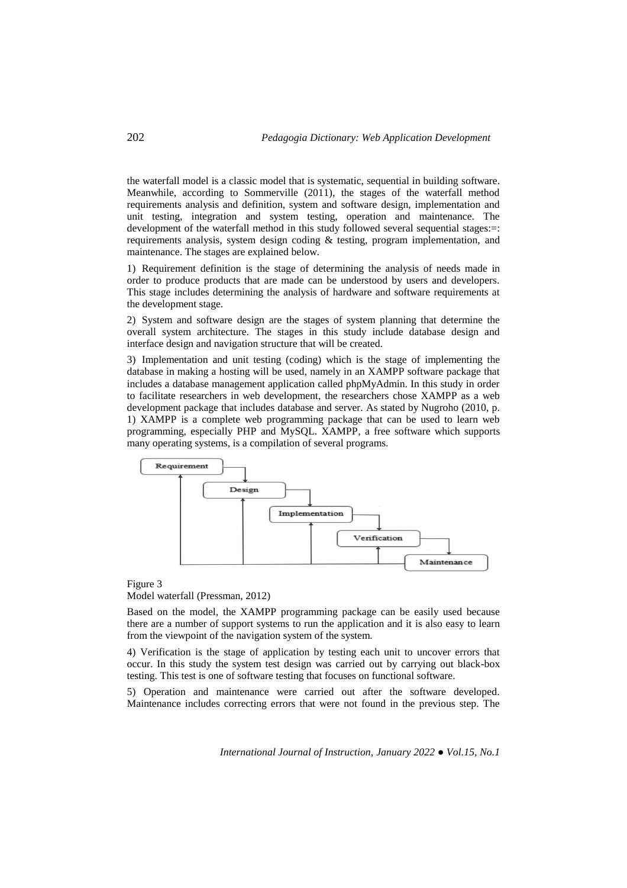the waterfall model is a classic model that is systematic, sequential in building software. Meanwhile, according to Sommerville (2011), the stages of the waterfall method requirements analysis and definition, system and software design, implementation and unit testing, integration and system testing, operation and maintenance. The development of the waterfall method in this study followed several sequential stages:=: requirements analysis, system design coding  $\&$  testing, program implementation, and maintenance. The stages are explained below.

1) Requirement definition is the stage of determining the analysis of needs made in order to produce products that are made can be understood by users and developers. This stage includes determining the analysis of hardware and software requirements at the development stage.

2) System and software design are the stages of system planning that determine the overall system architecture. The stages in this study include database design and interface design and navigation structure that will be created.

3) Implementation and unit testing (coding) which is the stage of implementing the database in making a hosting will be used, namely in an XAMPP software package that includes a database management application called phpMyAdmin. In this study in order to facilitate researchers in web development, the researchers chose XAMPP as a web development package that includes database and server. As stated by Nugroho (2010, p. 1) XAMPP is a complete web programming package that can be used to learn web programming, especially PHP and MySQL. XAMPP, a free software which supports many operating systems, is a compilation of several programs.



Figure 3 Model waterfall (Pressman, 2012)

Based on the model, the XAMPP programming package can be easily used because there are a number of support systems to run the application and it is also easy to learn from the viewpoint of the navigation system of the system.

4) Verification is the stage of application by testing each unit to uncover errors that occur. In this study the system test design was carried out by carrying out black-box testing. This test is one of software testing that focuses on functional software.

5) Operation and maintenance were carried out after the software developed. Maintenance includes correcting errors that were not found in the previous step. The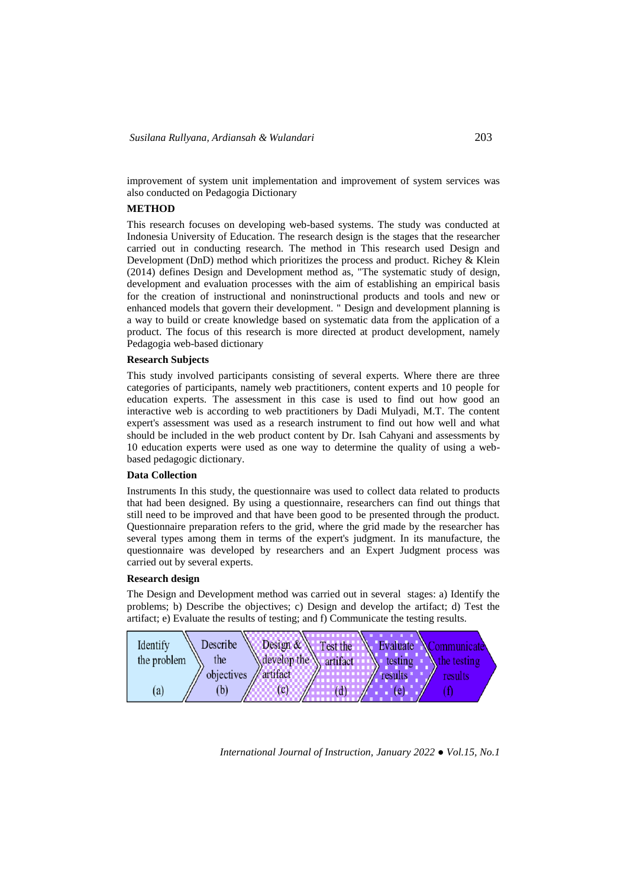improvement of system unit implementation and improvement of system services was also conducted on Pedagogia Dictionary

# **METHOD**

This research focuses on developing web-based systems. The study was conducted at Indonesia University of Education. The research design is the stages that the researcher carried out in conducting research. The method in This research used Design and Development (DnD) method which prioritizes the process and product. Richey & Klein (2014) defines Design and Development method as, "The systematic study of design, development and evaluation processes with the aim of establishing an empirical basis for the creation of instructional and noninstructional products and tools and new or enhanced models that govern their development. " Design and development planning is a way to build or create knowledge based on systematic data from the application of a product. The focus of this research is more directed at product development, namely Pedagogia web-based dictionary

# **Research Subjects**

This study involved participants consisting of several experts. Where there are three categories of participants, namely web practitioners, content experts and 10 people for education experts. The assessment in this case is used to find out how good an interactive web is according to web practitioners by Dadi Mulyadi, M.T. The content expert's assessment was used as a research instrument to find out how well and what should be included in the web product content by Dr. Isah Cahyani and assessments by 10 education experts were used as one way to determine the quality of using a webbased pedagogic dictionary.

# **Data Collection**

Instruments In this study, the questionnaire was used to collect data related to products that had been designed. By using a questionnaire, researchers can find out things that still need to be improved and that have been good to be presented through the product. Questionnaire preparation refers to the grid, where the grid made by the researcher has several types among them in terms of the expert's judgment. In its manufacture, the questionnaire was developed by researchers and an Expert Judgment process was carried out by several experts.

# **Research design**

The Design and Development method was carried out in several stages: a) Identify the problems; b) Describe the objectives; c) Design and develop the artifact; d) Test the artifact; e) Evaluate the results of testing; and f) Communicate the testing results.

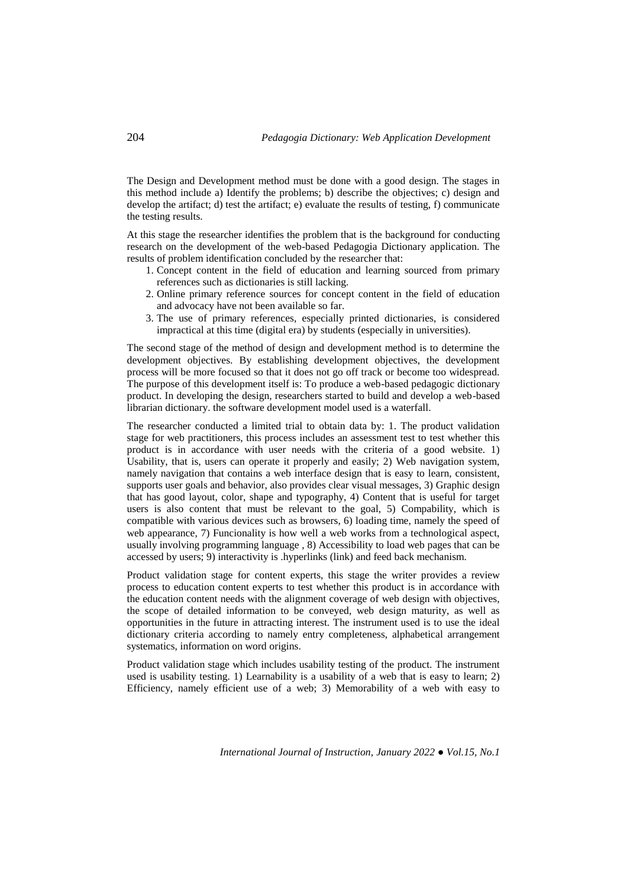The Design and Development method must be done with a good design. The stages in this method include a) Identify the problems; b) describe the objectives; c) design and develop the artifact; d) test the artifact; e) evaluate the results of testing, f) communicate the testing results.

At this stage the researcher identifies the problem that is the background for conducting research on the development of the web-based Pedagogia Dictionary application. The results of problem identification concluded by the researcher that:

- 1. Concept content in the field of education and learning sourced from primary references such as dictionaries is still lacking.
- 2. Online primary reference sources for concept content in the field of education and advocacy have not been available so far.
- 3. The use of primary references, especially printed dictionaries, is considered impractical at this time (digital era) by students (especially in universities).

The second stage of the method of design and development method is to determine the development objectives. By establishing development objectives, the development process will be more focused so that it does not go off track or become too widespread. The purpose of this development itself is: To produce a web-based pedagogic dictionary product. In developing the design, researchers started to build and develop a web-based librarian dictionary. the software development model used is a waterfall.

The researcher conducted a limited trial to obtain data by: 1. The product validation stage for web practitioners, this process includes an assessment test to test whether this product is in accordance with user needs with the criteria of a good website. 1) Usability, that is, users can operate it properly and easily; 2) Web navigation system, namely navigation that contains a web interface design that is easy to learn, consistent, supports user goals and behavior, also provides clear visual messages, 3) Graphic design that has good layout, color, shape and typography, 4) Content that is useful for target users is also content that must be relevant to the goal, 5) Compability, which is compatible with various devices such as browsers, 6) loading time, namely the speed of web appearance, 7) Funcionality is how well a web works from a technological aspect, usually involving programming language , 8) Accessibility to load web pages that can be accessed by users; 9) interactivity is .hyperlinks (link) and feed back mechanism.

Product validation stage for content experts, this stage the writer provides a review process to education content experts to test whether this product is in accordance with the education content needs with the alignment coverage of web design with objectives, the scope of detailed information to be conveyed, web design maturity, as well as opportunities in the future in attracting interest. The instrument used is to use the ideal dictionary criteria according to namely entry completeness, alphabetical arrangement systematics, information on word origins.

Product validation stage which includes usability testing of the product. The instrument used is usability testing. 1) Learnability is a usability of a web that is easy to learn; 2) Efficiency, namely efficient use of a web; 3) Memorability of a web with easy to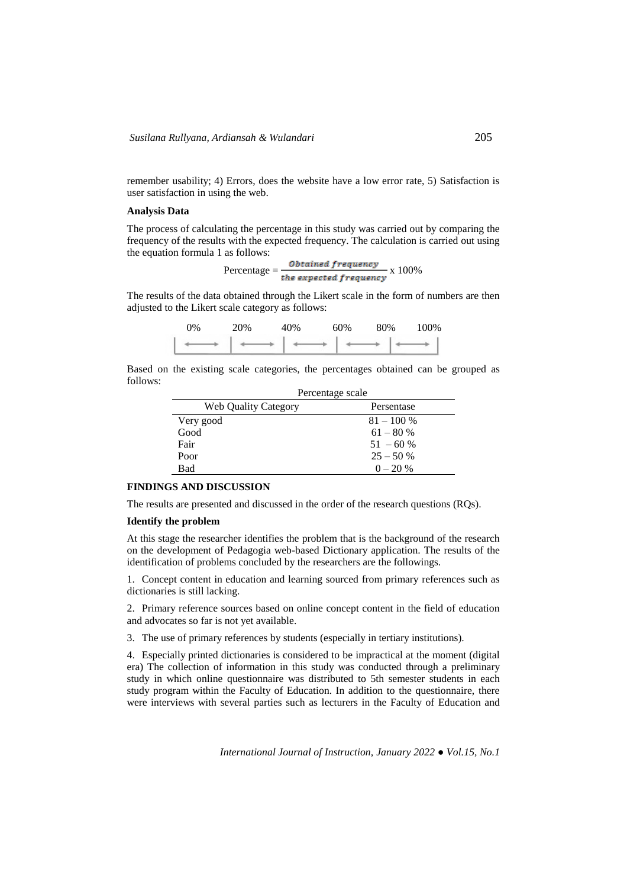remember usability; 4) Errors, does the website have a low error rate, 5) Satisfaction is user satisfaction in using the web.

#### **Analysis Data**

The process of calculating the percentage in this study was carried out by comparing the frequency of the results with the expected frequency. The calculation is carried out using the equation formula 1 as follows:

 $Percentage = \frac{Obtained frequency}{the expected frequency} \times 100\%$ 

The results of the data obtained through the Likert scale in the form of numbers are then adjusted to the Likert scale category as follows:

| 0% | 20% | 40% | 60% | 80% | 100% |
|----|-----|-----|-----|-----|------|
|    |     |     |     |     |      |

Based on the existing scale categories, the percentages obtained can be grouped as follows:

| Percentage scale            |              |  |
|-----------------------------|--------------|--|
| <b>Web Quality Category</b> | Persentase   |  |
| Very good                   | $81 - 100\%$ |  |
| Good                        | $61 - 80%$   |  |
| Fair                        | $51 - 60%$   |  |
| Poor                        | $25 - 50%$   |  |
| Bad                         | $0 - 20 %$   |  |

# **FINDINGS AND DISCUSSION**

The results are presented and discussed in the order of the research questions (RQs).

#### **Identify the problem**

At this stage the researcher identifies the problem that is the background of the research on the development of Pedagogia web-based Dictionary application. The results of the identification of problems concluded by the researchers are the followings.

1. Concept content in education and learning sourced from primary references such as dictionaries is still lacking.

2. Primary reference sources based on online concept content in the field of education and advocates so far is not yet available.

3. The use of primary references by students (especially in tertiary institutions).

4. Especially printed dictionaries is considered to be impractical at the moment (digital era) The collection of information in this study was conducted through a preliminary study in which online questionnaire was distributed to 5th semester students in each study program within the Faculty of Education. In addition to the questionnaire, there were interviews with several parties such as lecturers in the Faculty of Education and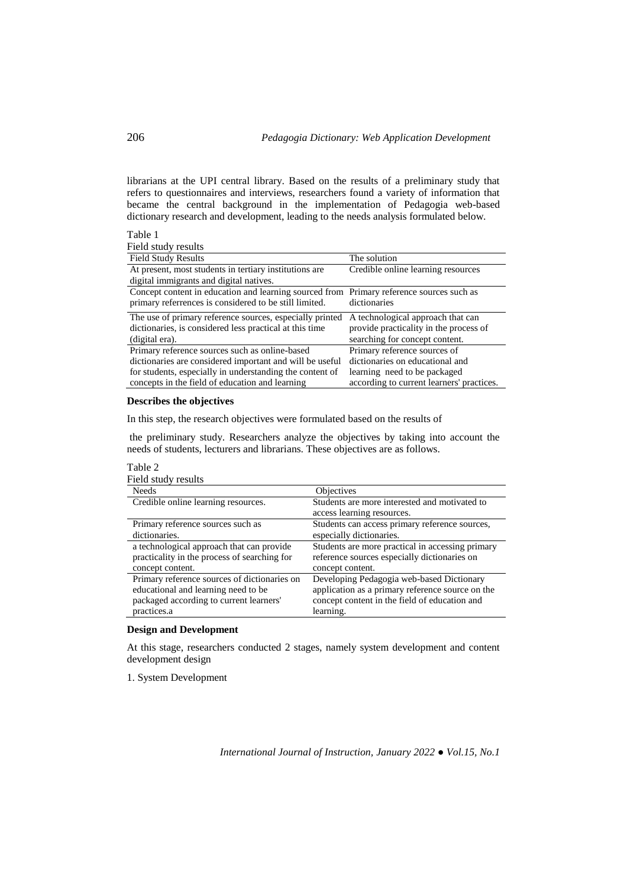librarians at the UPI central library. Based on the results of a preliminary study that refers to questionnaires and interviews, researchers found a variety of information that became the central background in the implementation of Pedagogia web-based dictionary research and development, leading to the needs analysis formulated below.

#### Table 1

Field study results

| 1 icia staav Tesans                                                                      |                                           |
|------------------------------------------------------------------------------------------|-------------------------------------------|
| <b>Field Study Results</b>                                                               | The solution                              |
| At present, most students in tertiary institutions are                                   | Credible online learning resources        |
| digital immigrants and digital natives.                                                  |                                           |
| Concept content in education and learning sourced from Primary reference sources such as |                                           |
| primary referrences is considered to be still limited.                                   | dictionaries                              |
| The use of primary reference sources, especially printed                                 | A technological approach that can         |
| dictionaries, is considered less practical at this time                                  | provide practicality in the process of    |
| (digital era).                                                                           | searching for concept content.            |
| Primary reference sources such as online-based                                           | Primary reference sources of              |
| dictionaries are considered important and will be useful                                 | dictionaries on educational and           |
| for students, especially in understanding the content of                                 | learning need to be packaged              |
| concepts in the field of education and learning                                          | according to current learners' practices. |
|                                                                                          |                                           |

## **Describes the objectives**

In this step, the research objectives were formulated based on the results of

the preliminary study. Researchers analyze the objectives by taking into account the needs of students, lecturers and librarians. These objectives are as follows.

# Table 2

| Field study results                          |                                                                             |
|----------------------------------------------|-----------------------------------------------------------------------------|
| <b>Needs</b>                                 | Objectives                                                                  |
| Credible online learning resources.          | Students are more interested and motivated to<br>access learning resources. |
| Primary reference sources such as            | Students can access primary reference sources,                              |
| dictionaries.                                | especially dictionaries.                                                    |
| a technological approach that can provide    | Students are more practical in accessing primary                            |
| practicality in the process of searching for | reference sources especially dictionaries on                                |
| concept content.                             | concept content.                                                            |
| Primary reference sources of dictionaries on | Developing Pedagogia web-based Dictionary                                   |
| educational and learning need to be          | application as a primary reference source on the                            |
| packaged according to current learners'      | concept content in the field of education and                               |
| practices.a                                  | learning.                                                                   |

# **Design and Development**

At this stage, researchers conducted 2 stages, namely system development and content development design

1. System Development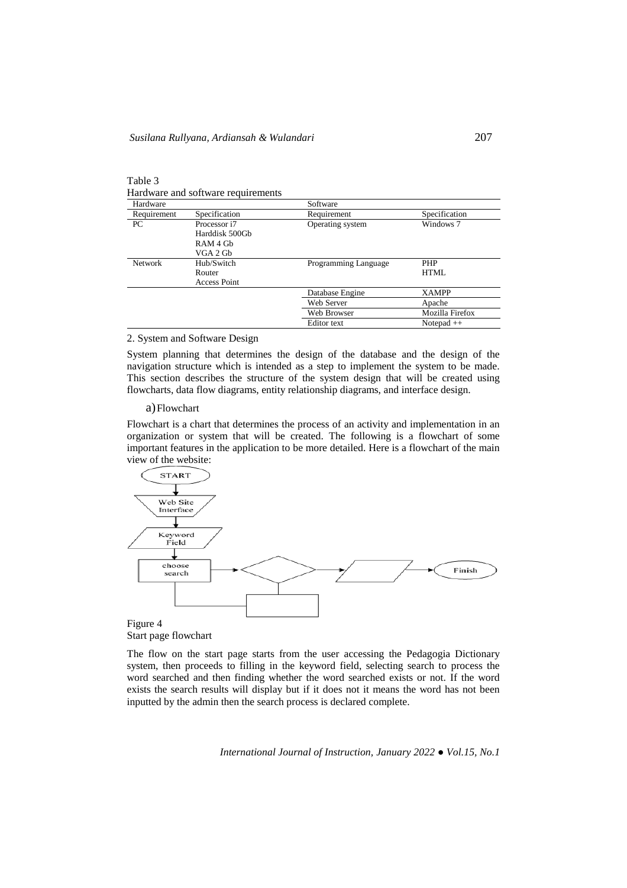Table 3 Hardware and software requirements

| Hardware       |                     | Software             |                 |
|----------------|---------------------|----------------------|-----------------|
| Requirement    | Specification       | Requirement          | Specification   |
| PC             | Processor i7        | Operating system     | Windows 7       |
|                | Harddisk 500Gb      |                      |                 |
|                | RAM 4 Gb            |                      |                 |
|                | VGA 2 Gb            |                      |                 |
| <b>Network</b> | Hub/Switch          | Programming Language | <b>PHP</b>      |
|                | Router              |                      | HTML            |
|                | <b>Access Point</b> |                      |                 |
|                |                     | Database Engine      | <b>XAMPP</b>    |
|                |                     | Web Server           | Apache          |
|                |                     | Web Browser          | Mozilla Firefox |
|                |                     | <b>Editor</b> text   | Notepad $++$    |

#### 2. System and Software Design

System planning that determines the design of the database and the design of the navigation structure which is intended as a step to implement the system to be made. This section describes the structure of the system design that will be created using flowcharts, data flow diagrams, entity relationship diagrams, and interface design.

### a)Flowchart

Flowchart is a chart that determines the process of an activity and implementation in an organization or system that will be created. The following is a flowchart of some important features in the application to be more detailed. Here is a flowchart of the main view of the website:



Start page flowchart

The flow on the start page starts from the user accessing the Pedagogia Dictionary system, then proceeds to filling in the keyword field, selecting search to process the word searched and then finding whether the word searched exists or not. If the word exists the search results will display but if it does not it means the word has not been inputted by the admin then the search process is declared complete.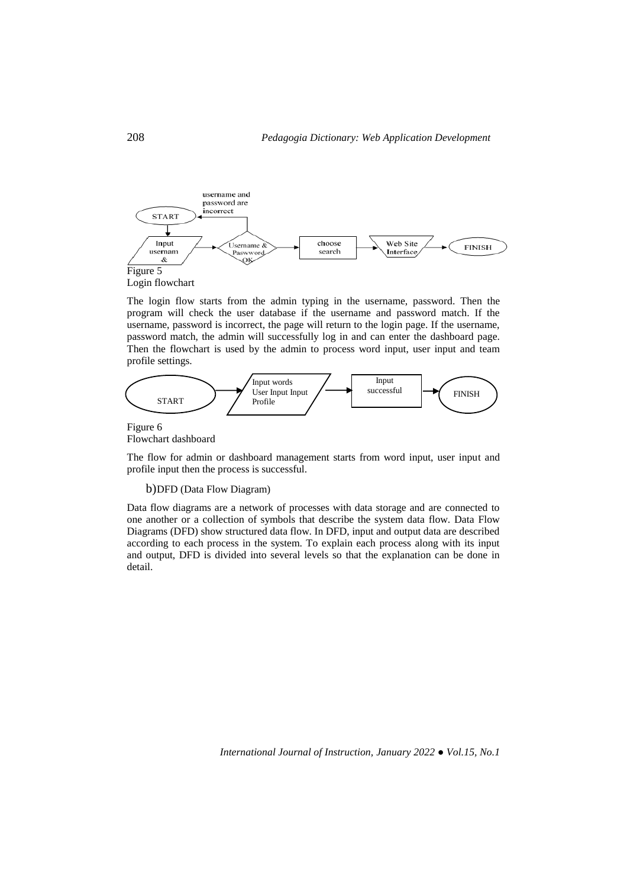

The login flow starts from the admin typing in the username, password. Then the program will check the user database if the username and password match. If the username, password is incorrect, the page will return to the login page. If the username, password match, the admin will successfully log in and can enter the dashboard page. Then the flowchart is used by the admin to process word input, user input and team profile settings.



Figure 6 Flowchart dashboard

The flow for admin or dashboard management starts from word input, user input and profile input then the process is successful.

b)DFD (Data Flow Diagram)

Data flow diagrams are a network of processes with data storage and are connected to one another or a collection of symbols that describe the system data flow. Data Flow Diagrams (DFD) show structured data flow. In DFD, input and output data are described according to each process in the system. To explain each process along with its input and output, DFD is divided into several levels so that the explanation can be done in detail.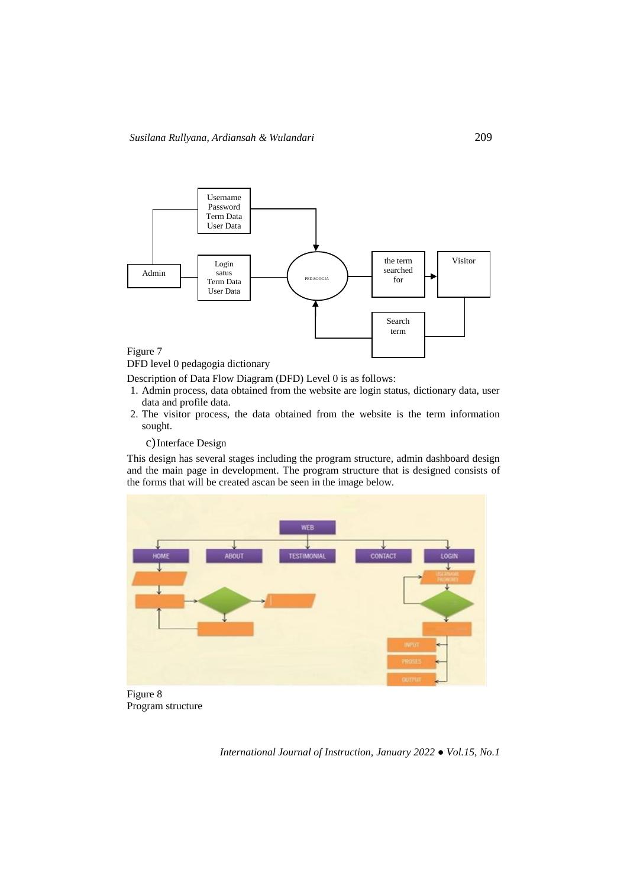

DFD level 0 pedagogia dictionary

Description of Data Flow Diagram (DFD) Level 0 is as follows:

- 1. Admin process, data obtained from the website are login status, dictionary data, user data and profile data.
- 2. The visitor process, the data obtained from the website is the term information sought.
	- c)Interface Design

This design has several stages including the program structure, admin dashboard design and the main page in development. The program structure that is designed consists of the forms that will be created ascan be seen in the image below.



Figure 8 Program structure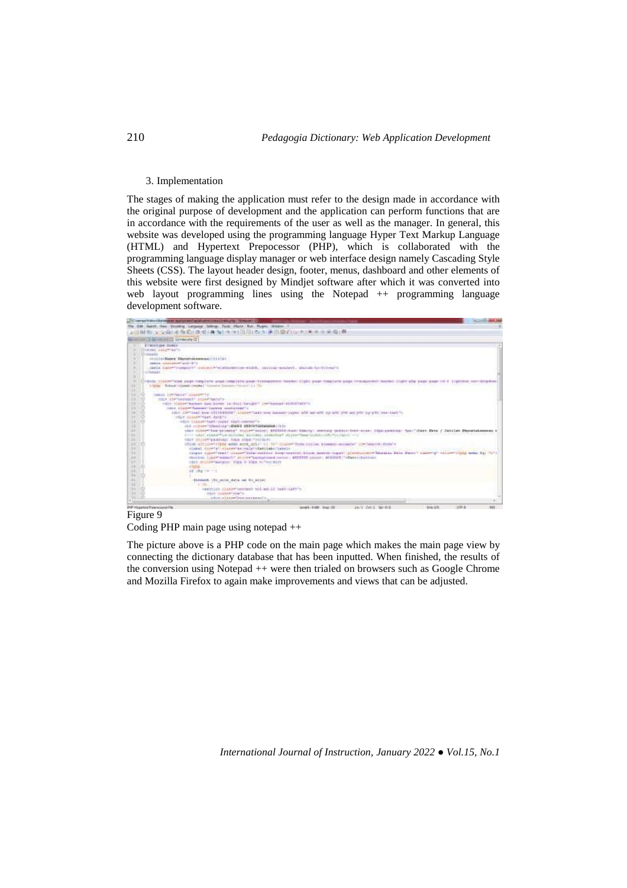### 3. Implementation

The stages of making the application must refer to the design made in accordance with the original purpose of development and the application can perform functions that are in accordance with the requirements of the user as well as the manager. In general, this website was developed using the programming language Hyper Text Markup Language (HTML) and Hypertext Prepocessor (PHP), which is collaborated with the programming language display manager or web interface design namely Cascading Style Sheets (CSS). The layout header design, footer, menus, dashboard and other elements of this website were first designed by Mindjet software after which it was converted into web layout programming lines using the Notepad ++ programming language development software.



# Figure 9 Coding PHP main page using notepad ++

The picture above is a PHP code on the main page which makes the main page view by connecting the dictionary database that has been inputted. When finished, the results of the conversion using Notepad ++ were then trialed on browsers such as Google Chrome and Mozilla Firefox to again make improvements and views that can be adjusted.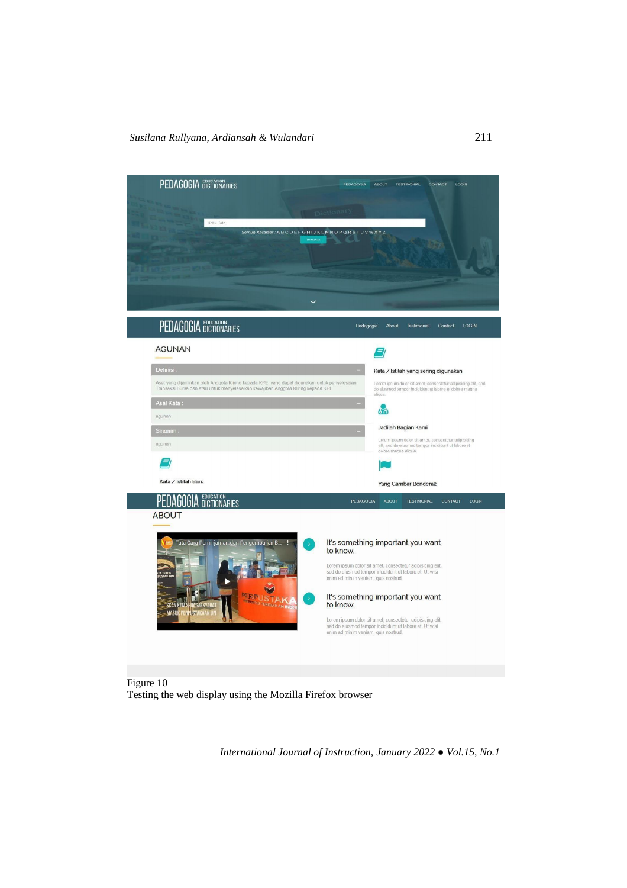

Figure 10 Testing the web display using the Mozilla Firefox browser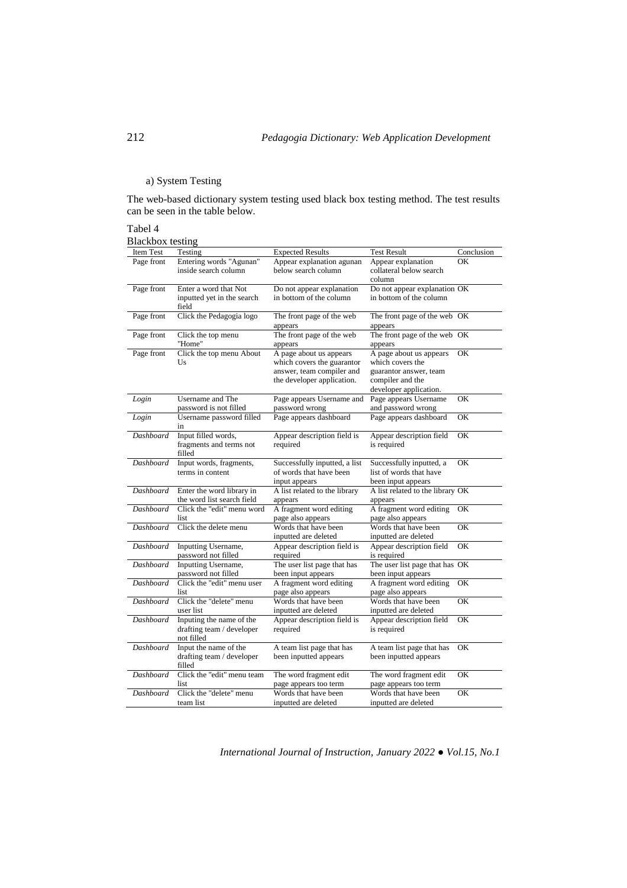# a) System Testing

The web-based dictionary system testing used black box testing method. The test results can be seen in the table below.

#### Tabel 4 Blackbox testing

| DIACKUUA ICSUIIL<br>Item Test | Testing                    | <b>Expected Results</b>       | <b>Test Result</b>               | Conclusion          |
|-------------------------------|----------------------------|-------------------------------|----------------------------------|---------------------|
| Page front                    | Entering words "Agunan"    | Appear explanation agunan     | Appear explanation               | OK                  |
|                               | inside search column       | below search column           | collateral below search          |                     |
|                               |                            |                               | column                           |                     |
|                               |                            |                               |                                  |                     |
| Page front                    | Enter a word that Not      | Do not appear explanation     | Do not appear explanation OK     |                     |
|                               | inputted yet in the search | in bottom of the column       | in bottom of the column          |                     |
|                               | field                      |                               |                                  |                     |
| Page front                    | Click the Pedagogia logo   | The front page of the web     | The front page of the web OK     |                     |
|                               |                            | appears                       | appears                          |                     |
| Page front                    | Click the top menu         | The front page of the web     | The front page of the web        | OK                  |
|                               | "Home"                     | appears                       | appears                          |                     |
| Page front                    | Click the top menu About   | A page about us appears       | A page about us appears          | OK                  |
|                               | Us                         | which covers the guarantor    | which covers the                 |                     |
|                               |                            | answer, team compiler and     | guarantor answer, team           |                     |
|                               |                            | the developer application.    | compiler and the                 |                     |
|                               |                            |                               | developer application.           |                     |
| Login                         | Username and The           | Page appears Username and     | Page appears Username            | OK                  |
|                               | password is not filled     | password wrong                | and password wrong               |                     |
| Login                         | Username password filled   | Page appears dashboard        | Page appears dashboard           | OK                  |
|                               | in                         |                               |                                  |                     |
| Dashboard                     | Input filled words,        | Appear description field is   | Appear description field         | OK                  |
|                               | fragments and terms not    | required                      | is required                      |                     |
|                               | filled                     |                               |                                  |                     |
| Dashboard                     | Input words, fragments,    | Successfully inputted, a list | Successfully inputted, a         | OK                  |
|                               | terms in content           | of words that have been       | list of words that have          |                     |
|                               |                            | input appears                 | been input appears               |                     |
| Dashboard                     | Enter the word library in  | A list related to the library | A list related to the library OK |                     |
|                               | the word list search field | appears                       | appears                          |                     |
| Dashboard                     | Click the "edit" menu word | A fragment word editing       | A fragment word editing          | OK                  |
|                               | list                       | page also appears             | page also appears                |                     |
| Dashboard                     | Click the delete menu      | Words that have been          | Words that have been             | OK                  |
|                               |                            | inputted are deleted          | inputted are deleted             |                     |
| Dashboard                     | Inputting Username,        | Appear description field is   | Appear description field         | OK                  |
|                               | password not filled        | required                      | is required                      |                     |
| Dashboard                     | Inputting Username,        | The user list page that has   | The user list page that has OK   |                     |
|                               | password not filled        | been input appears            | been input appears               |                     |
| Dashboard                     | Click the "edit" menu user | A fragment word editing       | A fragment word editing          | OK                  |
|                               | list                       | page also appears             | page also appears                |                     |
| <b>Dashboard</b>              | Click the "delete" menu    | Words that have been          | Words that have been             | $\overline{\rm OK}$ |
|                               | user list                  | inputted are deleted          | inputted are deleted             |                     |
| Dashboard                     | Inputing the name of the   | Appear description field is   | Appear description field         | OK                  |
|                               | drafting team / developer  | required                      | is required                      |                     |
|                               | not filled                 |                               |                                  |                     |
| Dashboard                     | Input the name of the      | A team list page that has     | A team list page that has        | OK                  |
|                               | drafting team / developer  | been inputted appears         | been inputted appears            |                     |
|                               | filled                     |                               |                                  |                     |
| Dashboard                     | Click the "edit" menu team | The word fragment edit        | The word fragment edit           | OK                  |
|                               | list                       | page appears too term         | page appears too term            |                     |
| Dashboard                     | Click the "delete" menu    | Words that have been          | Words that have been             | OK                  |
|                               | team list                  | inputted are deleted          | inputted are deleted             |                     |
|                               |                            |                               |                                  |                     |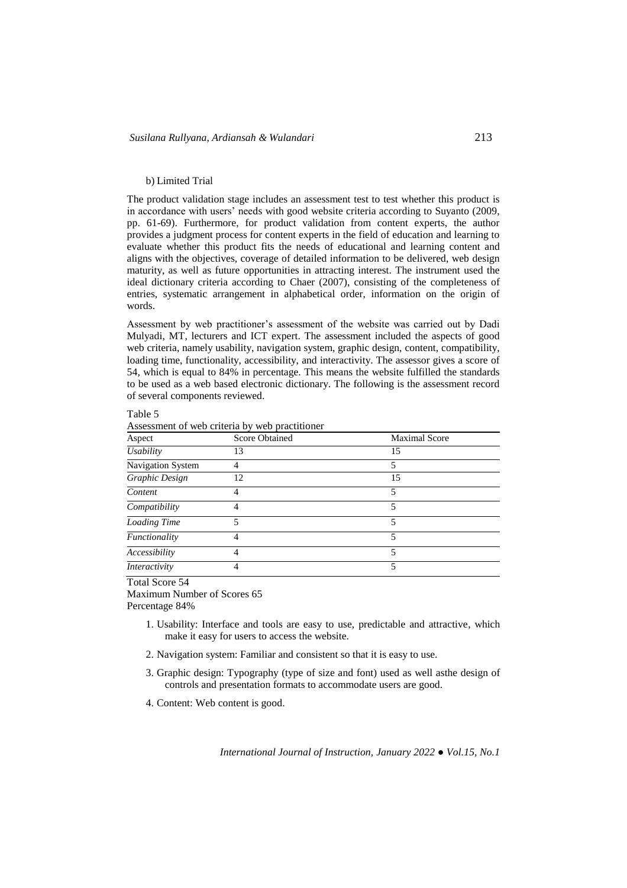### b) Limited Trial

The product validation stage includes an assessment test to test whether this product is in accordance with users' needs with good website criteria according to Suyanto (2009, pp. 61-69). Furthermore, for product validation from content experts, the author provides a judgment process for content experts in the field of education and learning to evaluate whether this product fits the needs of educational and learning content and aligns with the objectives, coverage of detailed information to be delivered, web design maturity, as well as future opportunities in attracting interest. The instrument used the ideal dictionary criteria according to Chaer (2007), consisting of the completeness of entries, systematic arrangement in alphabetical order, information on the origin of words.

Assessment by web practitioner's assessment of the website was carried out by Dadi Mulyadi, MT, lecturers and ICT expert. The assessment included the aspects of good web criteria, namely usability, navigation system, graphic design, content, compatibility, loading time, functionality, accessibility, and interactivity. The assessor gives a score of 54, which is equal to 84% in percentage. This means the website fulfilled the standards to be used as a web based electronic dictionary. The following is the assessment record of several components reviewed.

| Aspect            | <b>Score Obtained</b> | <b>Maximal Score</b> |
|-------------------|-----------------------|----------------------|
| <b>Usability</b>  | 13                    | 15                   |
| Navigation System |                       | 5                    |
| Graphic Design    | 12                    | 15                   |
| Content           |                       | 5                    |
| Compatibility     |                       | 5                    |
| Loading Time      | 5                     | 5                    |
| Functionality     | 4                     | 5                    |
| Accessibility     | 4                     | 5                    |
| Interactivity     |                       | 5                    |

Table 5

Assessment of web criteria by web practitioner

Total Score 54

Maximum Number of Scores 65 Percentage 84%

- 1. Usability: Interface and tools are easy to use, predictable and attractive, which make it easy for users to access the website.
- 2. Navigation system: Familiar and consistent so that it is easy to use.
- 3. Graphic design: Typography (type of size and font) used as well asthe design of controls and presentation formats to accommodate users are good.
- 4. Content: Web content is good.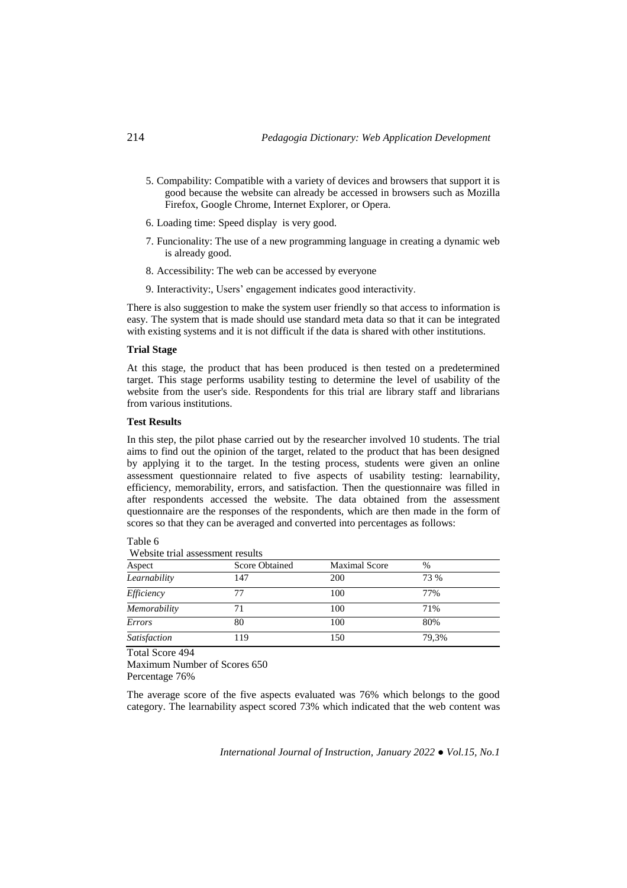- 5. Compability: Compatible with a variety of devices and browsers that support it is good because the website can already be accessed in browsers such as Mozilla Firefox, Google Chrome, Internet Explorer, or Opera.
- 6. Loading time: Speed display is very good.
- 7. Funcionality: The use of a new programming language in creating a dynamic web is already good.
- 8. Accessibility: The web can be accessed by everyone
- 9. Interactivity:, Users' engagement indicates good interactivity.

There is also suggestion to make the system user friendly so that access to information is easy. The system that is made should use standard meta data so that it can be integrated with existing systems and it is not difficult if the data is shared with other institutions.

### **Trial Stage**

At this stage, the product that has been produced is then tested on a predetermined target. This stage performs usability testing to determine the level of usability of the website from the user's side. Respondents for this trial are library staff and librarians from various institutions.

# **Test Results**

In this step, the pilot phase carried out by the researcher involved 10 students. The trial aims to find out the opinion of the target, related to the product that has been designed by applying it to the target. In the testing process, students were given an online assessment questionnaire related to five aspects of usability testing: learnability, efficiency, memorability, errors, and satisfaction. Then the questionnaire was filled in after respondents accessed the website. The data obtained from the assessment questionnaire are the responses of the respondents, which are then made in the form of scores so that they can be averaged and converted into percentages as follows:

| Website trial assessment results |                                               |     |               |  |
|----------------------------------|-----------------------------------------------|-----|---------------|--|
| Aspect                           | <b>Score Obtained</b><br><b>Maximal Score</b> |     | $\frac{0}{0}$ |  |
| Learnability                     | 147                                           | 200 | 73 %          |  |
| Efficiency                       | 77                                            | 100 | 77%           |  |
| Memorability                     | 71                                            | 100 | 71%           |  |
| Errors                           | 80                                            | 100 | 80%           |  |
| <b>Satisfaction</b>              | 119                                           | 150 | 79.3%         |  |

Table 6

Total Score 494 Maximum Number of Scores 650 Percentage 76%

The average score of the five aspects evaluated was 76% which belongs to the good category. The learnability aspect scored 73% which indicated that the web content was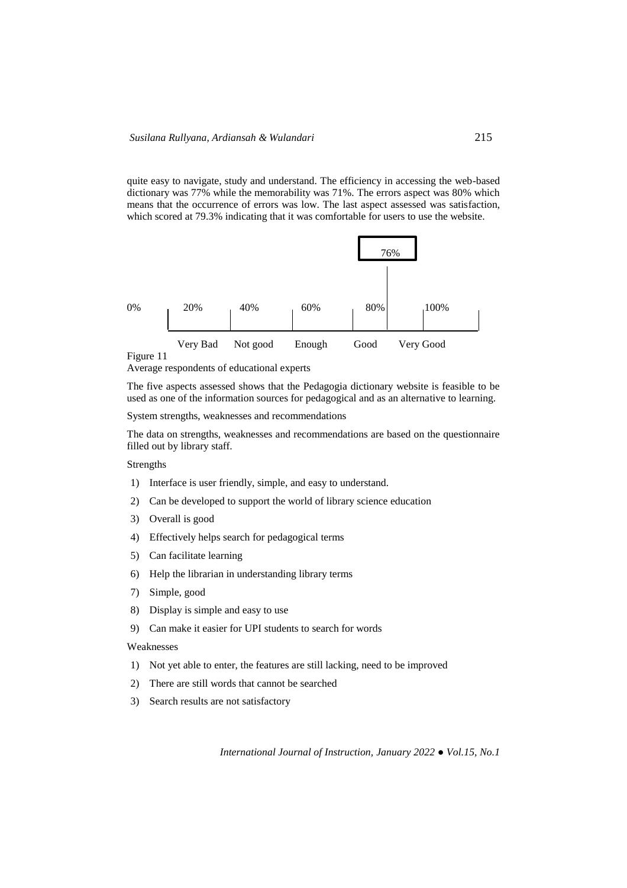quite easy to navigate, study and understand. The efficiency in accessing the web-based dictionary was 77% while the memorability was 71%. The errors aspect was 80% which means that the occurrence of errors was low. The last aspect assessed was satisfaction, which scored at 79.3% indicating that it was comfortable for users to use the website.



#### Figure 11

Average respondents of educational experts

The five aspects assessed shows that the Pedagogia dictionary website is feasible to be used as one of the information sources for pedagogical and as an alternative to learning.

System strengths, weaknesses and recommendations

The data on strengths, weaknesses and recommendations are based on the questionnaire filled out by library staff.

Strengths

- 1) Interface is user friendly, simple, and easy to understand.
- 2) Can be developed to support the world of library science education
- 3) Overall is good
- 4) Effectively helps search for pedagogical terms
- 5) Can facilitate learning
- 6) Help the librarian in understanding library terms
- 7) Simple, good
- 8) Display is simple and easy to use
- 9) Can make it easier for UPI students to search for words

#### Weaknesses

- 1) Not yet able to enter, the features are still lacking, need to be improved
- 2) There are still words that cannot be searched
- 3) Search results are not satisfactory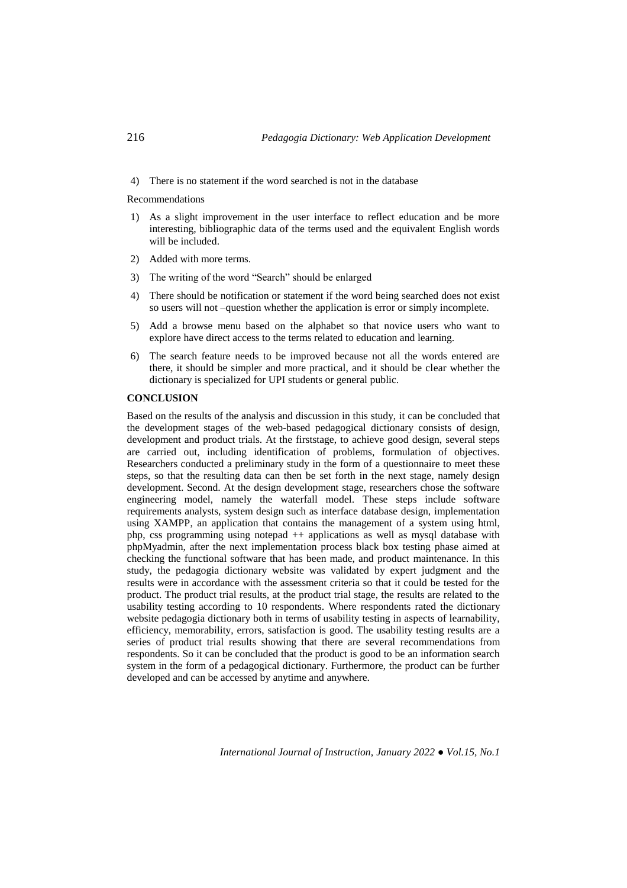4) There is no statement if the word searched is not in the database

Recommendations

- 1) As a slight improvement in the user interface to reflect education and be more interesting, bibliographic data of the terms used and the equivalent English words will be included.
- 2) Added with more terms.
- 3) The writing of the word "Search" should be enlarged
- 4) There should be notification or statement if the word being searched does not exist so users will not –question whether the application is error or simply incomplete.
- 5) Add a browse menu based on the alphabet so that novice users who want to explore have direct access to the terms related to education and learning.
- 6) The search feature needs to be improved because not all the words entered are there, it should be simpler and more practical, and it should be clear whether the dictionary is specialized for UPI students or general public.

# **CONCLUSION**

Based on the results of the analysis and discussion in this study, it can be concluded that the development stages of the web-based pedagogical dictionary consists of design, development and product trials. At the firststage, to achieve good design, several steps are carried out, including identification of problems, formulation of objectives. Researchers conducted a preliminary study in the form of a questionnaire to meet these steps, so that the resulting data can then be set forth in the next stage, namely design development. Second. At the design development stage, researchers chose the software engineering model, namely the waterfall model. These steps include software requirements analysts, system design such as interface database design, implementation using XAMPP, an application that contains the management of a system using html, php, css programming using notepad ++ applications as well as mysql database with phpMyadmin, after the next implementation process black box testing phase aimed at checking the functional software that has been made, and product maintenance. In this study, the pedagogia dictionary website was validated by expert judgment and the results were in accordance with the assessment criteria so that it could be tested for the product. The product trial results, at the product trial stage, the results are related to the usability testing according to 10 respondents. Where respondents rated the dictionary website pedagogia dictionary both in terms of usability testing in aspects of learnability, efficiency, memorability, errors, satisfaction is good. The usability testing results are a series of product trial results showing that there are several recommendations from respondents. So it can be concluded that the product is good to be an information search system in the form of a pedagogical dictionary. Furthermore, the product can be further developed and can be accessed by anytime and anywhere.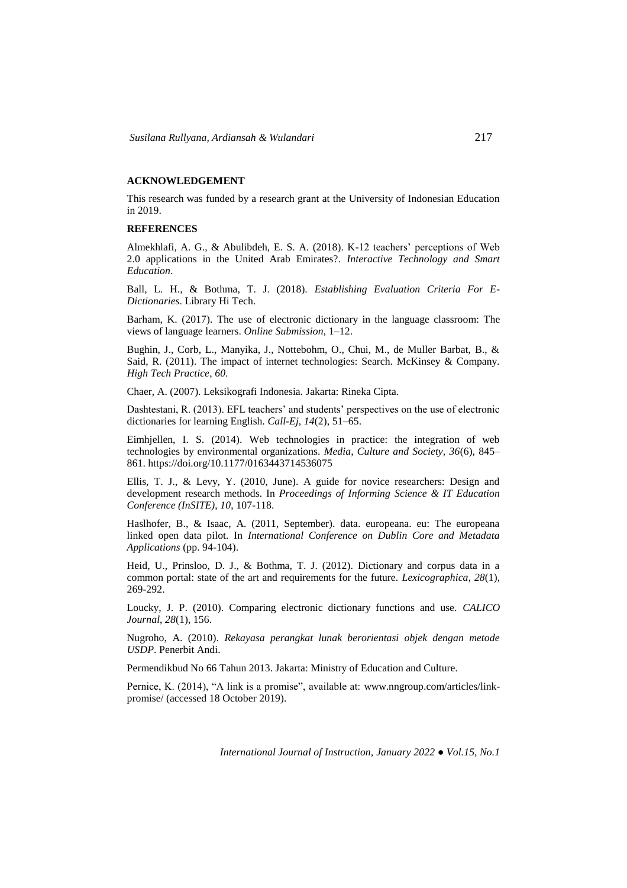# **ACKNOWLEDGEMENT**

This research was funded by a research grant at the University of Indonesian Education in 2019.

# **REFERENCES**

Almekhlafi, A. G., & Abulibdeh, E. S. A. (2018). K-12 teachers' perceptions of Web 2.0 applications in the United Arab Emirates?. *Interactive Technology and Smart Education*.

Ball, L. H., & Bothma, T. J. (2018). *Establishing Evaluation Criteria For E-Dictionaries*. Library Hi Tech.

Barham, K. (2017). The use of electronic dictionary in the language classroom: The views of language learners. *Online Submission*, 1–12.

Bughin, J., Corb, L., Manyika, J., Nottebohm, O., Chui, M., de Muller Barbat, B., & Said, R. (2011). The impact of internet technologies: Search. McKinsey & Company. *High Tech Practice*, *60*.

Chaer, A. (2007). Leksikografi Indonesia*.* Jakarta: Rineka Cipta.

Dashtestani, R. (2013). EFL teachers' and students' perspectives on the use of electronic dictionaries for learning English. *Call-Ej, 14*(2), 51–65.

Eimhjellen, I. S. (2014). Web technologies in practice: the integration of web technologies by environmental organizations. *Media, Culture and Society, 36*(6), 845– 861. https://doi.org/10.1177/0163443714536075

Ellis, T. J., & Levy, Y. (2010, June). A guide for novice researchers: Design and development research methods. In *Proceedings of Informing Science & IT Education Conference (InSITE)*, *10*, 107-118.

Haslhofer, B., & Isaac, A. (2011, September). data. europeana. eu: The europeana linked open data pilot. In *International Conference on Dublin Core and Metadata Applications* (pp. 94-104).

Heid, U., Prinsloo, D. J., & Bothma, T. J. (2012). Dictionary and corpus data in a common portal: state of the art and requirements for the future. *Lexicographica*, *28*(1), 269-292.

Loucky, J. P. (2010). Comparing electronic dictionary functions and use. *CALICO Journal*, *28*(1), 156.

Nugroho, A. (2010). *Rekayasa perangkat lunak berorientasi objek dengan metode USDP*. Penerbit Andi.

Permendikbud No 66 Tahun 2013. Jakarta: Ministry of Education and Culture.

Pernice, K. (2014), "A link is a promise", available at: [www.nngroup.com/articles/link](http://www.nngroup.com/articles/link-promise/)[promise/](http://www.nngroup.com/articles/link-promise/) (accessed 18 October 2019).